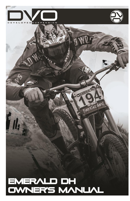



# EventScciland EMERALD DH<br>OWNER'S MANUAL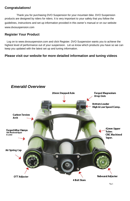# **Congratulations!**

Thank you for purchasing DVO Suspension for your mountain bike. DVO Suspension products are designed by riders for riders. It is very important to your safety that you follow the guidelines, instructions and set up information provided in this owner's manual or on our website www.dvosuspension.com

# **Register Your Product**

*Emerald Overview* 

 Log on to www.dvosuspension.com and click Register. DVO Suspension wants you to achieve the highest level of performance out of your suspension. Let us know which products you have so we can keep you updated with the latest set up and tuning information.

# **Please visit our website for more detailed information and tuning videos**

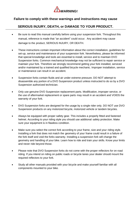

# **Failure to comply with these warnings and instructions may cause**

# **SERIOUS INJURY, DEATH, or DAMAGE TO YOUR PRODUCT.**

- Be sure to read this manual carefully before using your suspension fork. Throughout this manual, reference is made that "an accident" could occur. Any accident may cause damage to the product, SERIOUS INJURY, OR DEATH.
- These instructions contain important information about the correct installation, guidelines for set-up, service and maintenance of your suspension fork. Nevertheless, please be informed that special knowledge and tools are essential to install, service and to maintain DVO Suspension forks. Common mechanical knowledge may not be sufficient to repair service or maintain your fork. Therefore we strongly recommend getting your fork installed, serviced and/or maintained by a trained and qualified bicycle mechanic. Improper installation, service or maintenance can result in an accident.
- Suspension forks contain fluids and air under extreme pressure. DO NOT attempt to disassemble any portion of a DVO Suspension product unless instructed to do so by a DVO Suspension authorized technician.
- Only use genuine DVO Suspension replacement parts. Modification, improper service, or the use of aftermarket replacement or spare parts may result in an accident and VOIDS the warranty of your fork.
- DVO Suspension forks are designed for the usage by a single rider only. DO NOT use DVO Suspension products on any motorized bicycle, motorized vehicle or tandem bicycles.
- Always be equipped with proper safety gear. This includes a properly fitted and fastened helmet. According to your riding style you should use additional safety protection. Make sure your equipment is in flawless condition.
- Make sure you select the correct fork according to your frame, size and your riding style. Installing a fork that does not match the geometry of your frame could result in a failure of the fork itself and void the forks warranty. Installing a suspension fork will change the geometry and handling of your bike. Learn how to ride and train your skills. Know your limits and never ride beyond those.
- Please note that DVO Suspension forks do not come with the proper reflectors for on road riding. If you intend on riding on public roads or bicycle lanes your dealer should mount the required reflectors to your fork.
- Study all other manuals provided with your bicycle and make yourself familiar with all components mounted to your bike.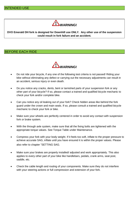

**DVO Emerald DH fork is designed for Downhill use ONLY. Any other use of the suspension could result in fork failure and an accident.**

### BEFORE EACH RIDE



- Do not ride your bicycle, if any one of the following test criteria is not passed! Riding your bike without eliminating any defect or carrying out the necessary adjustments can result in an accident, serious injury or even death.
- Do you notice any cracks, dents, bent or tarnished parts of your suspension fork or any other part of your bicycle? If so, please contact a trained and qualified bicycle mechanic to check your fork and/or complete bike.
- Can you notice any oil leaking out of your fork? Check hidden areas like behind the fork guard under the crown and main seals. If so, please consult a trained and qualified bicycle mechanic to check your fork or bike.
- Make sure your wheels are perfectly centered in order to avoid any contact with suspension fork or brake system.
- With the through axle system, make sure that all the fixing bolts are tightened with the appropriate torque values. See Torque Table under Maintenance.
- Compress your fork with your body weight. If it feels too soft, inflate to the proper pressure to achieve accurate SAG, inflate until you have ensured it is within the proper values. Please also refer to chapter "SETTING SAG.
- Make sure your brakes are properly installed/ adjusted and work appropriately. This also applies to every other part of your bike like handlebars, pedals, crank arms, seat post, saddle, etc.
- Check the cable length and routing of your components. Make sure they do not interfere with your steering actions or full compression and extension of your fork.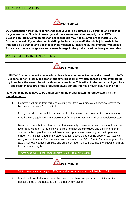

**DVO Suspension strongly recommends that your fork be installed by a trained and qualified bicycle mechanic. Special knowledge and tools are essential to properly install DVO Suspension forks. Common mechanical knowledge may not be sufficient to install a DVO Suspension fork. If you intend on installing the fork by yourself, the whole job needs to be inspected by a trained and qualified bicycle mechanic. Please note, that improperly installed forks are extremely dangerous and cause damage to the product, serious injury or even death.**

# INSTALLATION INSTRUCTIONS



**All DVO Suspension forks come with a threadless steer tube. Do not add a thread to it! DVO Suspension fork steer tubes are for one-time press fit only which cannot be removed. Do not try to replace the steer tube with a threaded steer tube. This will void the warranty of your fork and result in a failure of the product or cause serious injuries or even death to the rider.**

### **Note! All fixing bolts have to be tightened with the proper fastening torque stated by the manufacturers.**

- 1. Remove front brake from fork and existing fork from your bicycle. Afterwards remove the headset crown race from the fork.
- 2. Using a headset race installer, install the headset crown race on new steer tube making sure it's firmly against the fork crown. For fitment information see dvosuspension.com/tech
- 3. Remove top and bottom clamps from fork assembly to ensure proper mounting. Install the lower fork clamp on to the bike with all the headset parts included and a minimum 3mm spacer on the top of the headset. Now install upper crown ensuring headset operates smoothly and is just snug. Mark steer tube just above the top of the upper crown (*only if using a direct mount stem otherwise you must also install the stem before marking the steer tube*). Remove clamps from bike and cut steer tube. You can also use the following formula for steer tube length:

Frame head tube + headset stack height+ 3mm + top clamp(12mm)



Minimum total stack height = 120mm and a maximum total stack height = 165mm

4. Install the lower fork clamp on to the bike with all head set parts and a minimum 3mm spacer on top of the headset, then the upper fork clamp.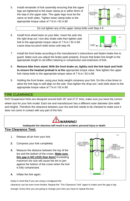5. Install remainder of fork assembly ensuring that the upper legs are tightened to the lower clamp at or within 8mm of the step in the upper tube. The upper legs must be the same on both sides. Tighten lower clamp bolts to the appropriate torque value of 7 N.m / 62 in.lbf

Fig. 2

Do not tighten any of the upper clamp bolts until Step # 8

6. Install front wheel back on your bike. Insert the axle into the right drop-out / non-disc brake side then tighten axle bolt to the appropriate torque value of 7 N.m / 62 in.lbf. Leave drop-out pinch bolts loose until step #9.



- 7. Install the front brake according to the manufacturer's instructions and fasten brake line to guard. Make sure you adjust the brake pads properly. Ensure that brake line length is the appropriate length to not effect steering or compression and extension of fork.
- 8. **Remove bike from stand. With the front brake on, lightly rock the fork back and forth to ensure the headset preload is at the** appropriate torque value. Now tighten the upper fork clamp bolts to the appropriate torque value of 7 N.m / 62 in.lbf.
- 9. Holding the front brake, using your body weight compress your fork. Do this a few times to allow the fork legs to self-align on the axle. Now tighten the drop-out / axle bolts down to the appropriate torque value of 7 N.m / 62 in.lbf.

# TIRE CLEARANCE

DVO Suspension forks are designed around both 26" and 27.5" tires; make sure you have the correct

wheel size for your fork model. Each tire and manufacturer has a different outer diameter (tire width and height). Therefore the clearance between your tire and fork needs to be checked to make sure it does not come in contact with any part of the fork.



**Inadequate tire clearance will result in an accident, personal injury or death.**

### **Tire Clearance Test:**

- 1. Release all air from your fork.
- **2.** Compress your fork completely
- **3.** Measure the distance between the top of the tire and the bottom of the crown. **Make sure this gap is NO LESS than 6mm!** Exceeding maximum tire size will cause the tire to jam against the bottom of the crown when the fork is fully compressed.



**4.** Inflate the fork again.

Keep in mind that if you are using a mudguard the

clearance can be even more limited. Repeat the "Tire Clearance Test" again to make sure the gap is big enough. Every time you are going to change your tires you have to repeat the test.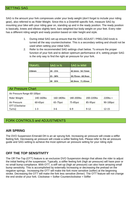SAG is the amount your fork compresses under your body weight (don't forget to include your riding gear), also referred to as Rider Weight. Since this is a Downhill specific fork, measure SAG by mounting your bike with your riding gear on, standing up and in the ready position. The ready position is basically, knees and elbows slightly bent, bars weighted but body weight on your feet. Every rider has a different riding weight and ready position based on rider height and style.

- 1. During initial SAG set-up ensure that the SAG ADJUST / PRELOAD knob is turned all the way counterclockwise. This is a secondary setting and should not be used when setting your initial SAG.
- 2. Refer to the recommended SAG settings chart below. To ensure the proper function of your fork and to deliver optimum performance of it, setting proper SAG is the only way to find the right air pressure for your fork.

| <b>ITRAVEL</b> | SAG in %   | <b>SAG in MM</b> |
|----------------|------------|------------------|
| 203mm          | $20 - 25%$ | 40.6mm - 50.75mm |
|                | 25 - 30%   | 50.75mm - 60.9mm |
|                | $30 - 35%$ | 60.9mm - 71.05mm |

| <b>Air Pressure Chart</b>    |            |            |            |            |             |  |
|------------------------------|------------|------------|------------|------------|-------------|--|
| Air Pressure Range 60-100psi |            |            |            |            |             |  |
| Rider Weight                 | 140-160lbs | 160-180lbs | 180-200lbs | 200-220lbs | $220$ lbs + |  |
| Air Pressure                 | 60-65psi   | 65-75psi   | 75-85psi   | 85-95psi   | 90-100psi   |  |
| OTT (Clockwise               |            |            |            |            |             |  |
| Turns)                       | $1 - 3$    | $3-6$      | $6-9$      | $9 - 12$   | $12 - 15$   |  |

# FORK CONTROLS and ADJUSTMENTS

# **AIR SPRING**

The DVO Suspension Emerald DH is an air sprung fork. Increasing air pressure will create a stiffer feeling fork. Decreasing air pressure will create a softer feeling fork. Please refer to the air pressure guide and SAG setting to achieve the most optimum air pressure setting for your riding style

# **OFF THE TOP SENSITIVITY**

The Off-The-Top (OTT) feature is an exclusive DVO Suspension design that allows the rider to adjust the initial feeling of the suspension. Typically, a stiffer feeling fork (high air pressure) will have poor or no small bump compliance. With OTT, a stiff set-up (high air pressure) can also have amazing small bump sensitivity. This is accomplished by externally increasing or decreasing the preload on the negative springs. Increasing the OTT will make the fork more sensitive (softer) at the beginning stroke. Decreasing the OTT will make the fork less sensitive (firmer). The OTT feature will not change the end stroke of your fork. Clockwise = Softer Counterclockwise = Stiffer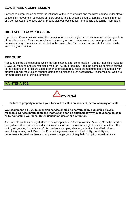# **LOW SPEED COMPRESSION**

Low speed compression controls the influence of the rider's weight and the bikes attitude under slower suspension movement regardless of riders speed. This is accomplished by turning a needle in or out of a port located in the base valve. Please visit our web site for more details and tuning information.

# **HIGH SPEED COMPRESSION**

High Speed Compression controls the damping force under higher suspension movements regardless of the riders speed. This is accomplished by turning a knob to increase or decrease preload on a pressure spring on a shim stack located in the base valve. Please visit our website for more details and tuning information.

# **REBOUND**

Rebound controls the speed at which the fork extends after compression. Turn the knob clock-wise for SLOWER rebound and counter clock-wise for FASTER rebound. Rebound damping control is relative to the amount of air pressure used. Higher air pressure requires more rebound damping and a lower air pressure will require less rebound damping so please adjust accordingly. Please visit our web site for more details and tuning information.

# **MAINTENANCE**



### **Failure to properly maintain your fork will result in an accident, personal injury or death.**

**We recommend all DVO Suspension service should be performed by a qualified bicycle mechanic. Service information and instructions can be obtained at www.dvosuspension.com or by contacting your local DVO Suspension dealer or distributor.**

The Emerald contains nearly 400cc's of oil (damper side: 330cc's) (air side: 50cc's). Oil is the heart of the system, other companies reduce oil volumes to keep the overall weight to a minimum, that's like cutting off your leg to run faster. Oil is used as a damping element, a lubricant, and helps keep everything running cool. Due to the Emerald's generous use of oil, reliability, durability and performance is greatly enhanced but please change your oil regularly for optimum performance.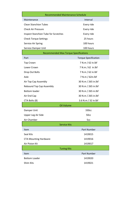| <b>Recommended Maintenance Schedule</b>      |                             |  |  |  |  |
|----------------------------------------------|-----------------------------|--|--|--|--|
| Maintenance                                  | Interval                    |  |  |  |  |
| <b>Clean Stanchion Tubes</b>                 | Every ride                  |  |  |  |  |
| <b>Check Air Pressure</b>                    | Every ride                  |  |  |  |  |
| <b>Inspect Stanchion Tube for Scratches</b>  | Every ride                  |  |  |  |  |
| <b>Check Torque Settings</b>                 | 25 hours                    |  |  |  |  |
| Service Air Spring                           | 100 hours                   |  |  |  |  |
| Service Damper Unit                          | 100 hours                   |  |  |  |  |
| <b>Recommended Max Torque Specifications</b> |                             |  |  |  |  |
| Part                                         | <b>Torque Specification</b> |  |  |  |  |
| <b>Top Crown</b>                             | 7 N.m / 62 in.lbf           |  |  |  |  |
| Lower Crown                                  | 7 N.m / 62 in.lbf           |  |  |  |  |
| Drop Out Bolts                               | 7 N.m / 62 in.lbf           |  |  |  |  |
| Axle                                         | 7 N.m / 62in.lbf            |  |  |  |  |
| Air Top Cap Assembly                         | 30 N.m / 265 in.lbf         |  |  |  |  |
| Rebound Top Cap Assembly                     | 30 N.m / 265 in.lbf         |  |  |  |  |
| <b>Bottom loader</b>                         | 30 N.m / 265 in.lbf         |  |  |  |  |
| Air End Cap                                  | 30 N.m / 265 in.lbf         |  |  |  |  |
| CTA Bolts (8)                                | 3.6 N.m / 32 in.lbf         |  |  |  |  |
| Oil Volume                                   |                             |  |  |  |  |
| Damper Unit                                  | 330 <sub>cc</sub>           |  |  |  |  |
| Upper Leg Air Side                           | 50cc                        |  |  |  |  |
| Air Chamber                                  | 5cc                         |  |  |  |  |
| <b>Service Kits</b>                          |                             |  |  |  |  |
| Item                                         | Part Number                 |  |  |  |  |
| Seal Kits                                    | 1419015                     |  |  |  |  |
| <b>CTA Mounting Hardware</b>                 | 1419016                     |  |  |  |  |
| Air Piston Kit                               | 1419017                     |  |  |  |  |
| <b>Tuning Kits</b>                           |                             |  |  |  |  |
| <b>Item</b>                                  | Part Number                 |  |  |  |  |
| <b>Bottom Loader</b>                         | 1419020                     |  |  |  |  |
| <b>Shim Kits</b>                             | 1419021                     |  |  |  |  |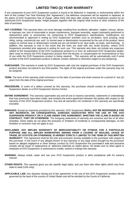# **LIMITED TWO (2) YEAR WARRANTY**

If any component of your DVO Suspension product is found to be defective in materials or workmanship within the term of this Limited Two Year Warranty (the "Agreement"), the defective component will be repaired or replaced, at the option of DVO Suspension free of charge, within thirty (30) days after receipt of the Suspension product by an authorized DVO Suspension dealer, freight prepaid, together with the original retail invoice or other evidence of the date of purchase.

- **NOT COVERED:** This warranty does not cover damage resulting from accidents, alteration, neglect, misuse, abuse, or improper use, lack of reasonable or proper maintenance, improper assembly, repairs improperly performed or replacement parts or accessories not conforming to DVO Suspension's specifications, modifications not recommended or approved in writing by DVO Suspension activities such as acrobatics, stunt jumping, ramp riding, racing, commercial use, and / or normal wear or deterioration occasioned by the use of the product. Items subject to normal wear or deterioration include but are not limited to oil, dust seals, oil seals, and bushings. In addition, this warranty is void in the event that the forks are used with any rental bicycles, unless DVO Suspension provided prior approval in writing for such use. This warranty also does not include any expenses related to the transportation of the DVO Suspension product to or from an authorized DVO Suspension dealer, labor costs to remove the DVO Suspension product from the bicycle, or compensation for inconvenience or loss of use while the DVO Suspension product is being repaired. This warranty will be automatically void if serial number of the DVO Suspension product is altered, erased, defaced or otherwise subject to any tampering.
- **PURCHASER.** This warranty is made by DVO Suspension with only the original purchaser of the DVO Suspension product and does not extend to any third parties. The rights of the original purchaser under this warranty may not be assigned.
- **TERM.** The term of this warranty shall commence on the date of purchase and shall continue for a period of two (2) years from the date of the original purchase.
- **PROCEDURE.** In event of a defect covered by this warranty, the purchaser should contact an authorized DVO Suspension dealer or a DVO Suspension Service Centre.
- **ENTIRE AGREEMENT.** This warranty supersedes any and all oral or express warranties, statements or undertakings that may previously have been made, and contains the entire agreement between the parties with respect to the warranty of this DVO Suspension product. Any and all warranties not contained in this warranty are specifically excluded.
- **DAMAGES.** Except as expressly provided by this warranty, DVO Suspension **SHALL NOT BE RESPONSIBLE FOR ANY INCIDENTAL OR CONSEQUENTIAL DAMAGES ASSOCIATED WITH THE USE OF THE DVO SUSPENSION PRODUCT OR A CLAIM UNDER THIS AGREEMENT, WHETHER THE CLAIM IS BASED ON CONTRACT, TORT OR OTHERWISE.** The foregoing statements of warranty are exclusive and lieu of all other remedies. Some states do not allow the exclusion or limitation of incidental or consequential damages, so this limitation or exclusion may not apply to you.
- **DISCLAIMER. ANY IMPLIED WARRANTY OF MERCHANTABILITY OR FITNESS FOR A PARTICULAR PURPOSE AND ALL IMPLIED WARRANTIES ARISING FROM A COURSE OF DEALING, USAGE OF TRADE, BY STATUTE OR OTHERWISE, IS HEREBY STRICTLY LIMITED TO THE TERM OF THIS WRITTEN WARRANTY**. This Agreement shall be the sole and exclusive remedy available to the purchaser with respect to this purchase. In the event of any alleged breach of any warranty or any legal action brought by the purchaser based on alleged negligence or other tortious conduct by DVO Suspension the purchaser's sole and exclusive remedy will be repair or replacement of defective materials as stated above. No dealer and no other agent or employee of DVO Suspension is authorized to modify, extend or enlarge this warranty.
- **WARNING.** Always install, repair and use your DVO Suspension product in strict compliance with it's owner's manual.
- **OTHER RIGHTS.** This warranty gives you the specific legal rights, and you have also other rights which vary from state to state (USA only).
- **APPLICABLE LAW.** Any disputes arising out of this agreement or the use of this DVO Suspension product will be governed by the laws of the country of United States and will be decided by the Courts of California.